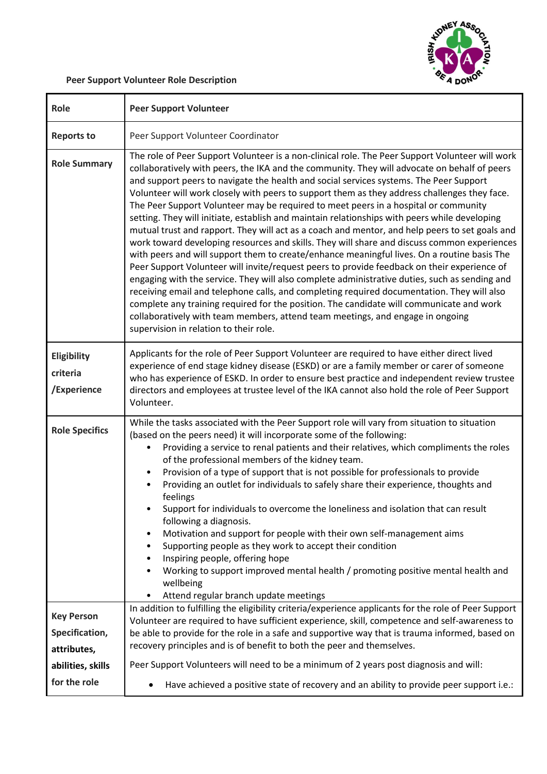

## **Peer Support Volunteer Role Description**

| Role                                               | <b>Peer Support Volunteer</b>                                                                                                                                                                                                                                                                                                                                                                                                                                                                                                                                                                                                                                                                                                                                                                                                                                                                                                                                                                                                                                                                                                                                                                                                                                                                                                                                                                           |
|----------------------------------------------------|---------------------------------------------------------------------------------------------------------------------------------------------------------------------------------------------------------------------------------------------------------------------------------------------------------------------------------------------------------------------------------------------------------------------------------------------------------------------------------------------------------------------------------------------------------------------------------------------------------------------------------------------------------------------------------------------------------------------------------------------------------------------------------------------------------------------------------------------------------------------------------------------------------------------------------------------------------------------------------------------------------------------------------------------------------------------------------------------------------------------------------------------------------------------------------------------------------------------------------------------------------------------------------------------------------------------------------------------------------------------------------------------------------|
| <b>Reports to</b>                                  | Peer Support Volunteer Coordinator                                                                                                                                                                                                                                                                                                                                                                                                                                                                                                                                                                                                                                                                                                                                                                                                                                                                                                                                                                                                                                                                                                                                                                                                                                                                                                                                                                      |
| <b>Role Summary</b>                                | The role of Peer Support Volunteer is a non-clinical role. The Peer Support Volunteer will work<br>collaboratively with peers, the IKA and the community. They will advocate on behalf of peers<br>and support peers to navigate the health and social services systems. The Peer Support<br>Volunteer will work closely with peers to support them as they address challenges they face.<br>The Peer Support Volunteer may be required to meet peers in a hospital or community<br>setting. They will initiate, establish and maintain relationships with peers while developing<br>mutual trust and rapport. They will act as a coach and mentor, and help peers to set goals and<br>work toward developing resources and skills. They will share and discuss common experiences<br>with peers and will support them to create/enhance meaningful lives. On a routine basis The<br>Peer Support Volunteer will invite/request peers to provide feedback on their experience of<br>engaging with the service. They will also complete administrative duties, such as sending and<br>receiving email and telephone calls, and completing required documentation. They will also<br>complete any training required for the position. The candidate will communicate and work<br>collaboratively with team members, attend team meetings, and engage in ongoing<br>supervision in relation to their role. |
| Eligibility<br>criteria<br>/Experience             | Applicants for the role of Peer Support Volunteer are required to have either direct lived<br>experience of end stage kidney disease (ESKD) or are a family member or carer of someone<br>who has experience of ESKD. In order to ensure best practice and independent review trustee<br>directors and employees at trustee level of the IKA cannot also hold the role of Peer Support<br>Volunteer.                                                                                                                                                                                                                                                                                                                                                                                                                                                                                                                                                                                                                                                                                                                                                                                                                                                                                                                                                                                                    |
| <b>Role Specifics</b>                              | While the tasks associated with the Peer Support role will vary from situation to situation<br>(based on the peers need) it will incorporate some of the following:<br>Providing a service to renal patients and their relatives, which compliments the roles<br>of the professional members of the kidney team.<br>Provision of a type of support that is not possible for professionals to provide<br>٠<br>Providing an outlet for individuals to safely share their experience, thoughts and<br>feelings<br>Support for individuals to overcome the loneliness and isolation that can result<br>following a diagnosis.<br>Motivation and support for people with their own self-management aims<br>Supporting people as they work to accept their condition<br>Inspiring people, offering hope<br>Working to support improved mental health / promoting positive mental health and<br>wellbeing<br>Attend regular branch update meetings                                                                                                                                                                                                                                                                                                                                                                                                                                                             |
| <b>Key Person</b><br>Specification,<br>attributes, | In addition to fulfilling the eligibility criteria/experience applicants for the role of Peer Support<br>Volunteer are required to have sufficient experience, skill, competence and self-awareness to<br>be able to provide for the role in a safe and supportive way that is trauma informed, based on<br>recovery principles and is of benefit to both the peer and themselves.                                                                                                                                                                                                                                                                                                                                                                                                                                                                                                                                                                                                                                                                                                                                                                                                                                                                                                                                                                                                                      |
| abilities, skills<br>for the role                  | Peer Support Volunteers will need to be a minimum of 2 years post diagnosis and will:<br>Have achieved a positive state of recovery and an ability to provide peer support i.e.:                                                                                                                                                                                                                                                                                                                                                                                                                                                                                                                                                                                                                                                                                                                                                                                                                                                                                                                                                                                                                                                                                                                                                                                                                        |